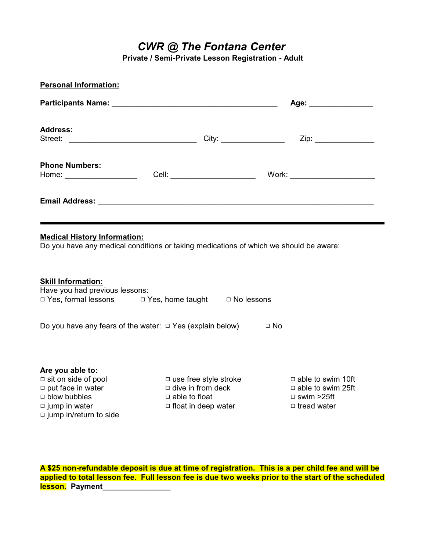*CWR @ The Fontana Center*

**Private / Semi-Private Lesson Registration - Adult**

| <b>Personal Information:</b>                                                                                                 |  |  |                       |  |
|------------------------------------------------------------------------------------------------------------------------------|--|--|-----------------------|--|
|                                                                                                                              |  |  | Age: ________________ |  |
| <b>Address:</b>                                                                                                              |  |  |                       |  |
| <b>Phone Numbers:</b><br>Home: ____________________                                                                          |  |  |                       |  |
|                                                                                                                              |  |  |                       |  |
| <b>Medical History Information:</b><br>Do you have any medical conditions or taking medications of which we should be aware: |  |  |                       |  |
| <b>Skill Information:</b><br>Have you had previous lessons:<br>□ Yes, formal lessons □ Yes, home taught □ No lessons         |  |  |                       |  |
| Do you have any fears of the water: $\Box$ Yes (explain below)                                                               |  |  | $\Box$ No             |  |

# **Are you able to:**<br>□ sit on side of pool

 $\Box$  put face in water  $\Box$  dive in from deck  $\Box$  able to swim 25ft  $\Box$  blow bubbles  $\Box$  able to float  $\Box$  swim >25ft  $\Box$  swim >25ft  $\Box$  iump in water  $\Box$  float in deep water  $\Box$  tread water  $\Box$  jump in/return to side

□ use free style stroke  $\Box$  able to swim 10ft  $\Box$  dive in from deck  $\Box$  able to swim 25ft  $\Box$  float in deep water

**A \$25 non-refundable deposit is due at time of registration. This is a per child fee and will be applied to total lesson fee. Full lesson fee is due two weeks prior to the start of the scheduled lesson.** Payment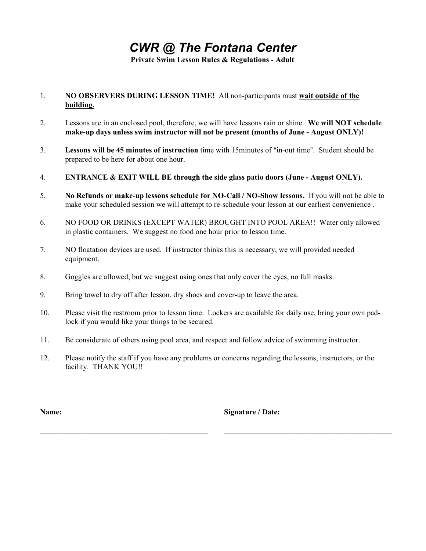### *CWR @ The Fontana Center*

**Private Swim Lesson Rules & Regulations - Adult**

#### 1. **NO OBSERVERS DURING LESSON TIME!** All non-participants must **wait outside of the building.**

- 2. Lessons are in an enclosed pool, therefore, we will have lessons rain or shine. **We will NOT schedule make-up days unless swim instructor will not be present (months of June - August ONLY)!**
- 3. **Lessons will be 45 minutes of instruction** time with 15minutes of "in-out time". Student should be prepared to be here for about one hour.
- 4. **ENTRANCE & EXIT WILL BE through the side glass patio doors (June August ONLY).**
- 5. **No Refunds or make-up lessons schedule for NO-Call / NO-Show lessons.** If you will not be able to make your scheduled session we will attempt to re-schedule your lesson at our earliest convenience .
- 6. NO FOOD OR DRINKS (EXCEPT WATER) BROUGHT INTO POOL AREA!! Water only allowed in plastic containers. We suggest no food one hour prior to lesson time.
- 7. NO floatation devices are used. If instructor thinks this is necessary, we will provided needed equipment.
- 8. Goggles are allowed, but we suggest using ones that only cover the eyes, no full masks.
- 9. Bring towel to dry off after lesson, dry shoes and cover-up to leave the area.

\_\_\_\_\_\_\_\_\_\_\_\_\_\_\_\_\_\_\_\_\_\_\_\_\_\_\_\_\_\_\_\_\_\_\_\_\_\_\_\_\_\_\_\_

- 10. Please visit the restroom prior to lesson time. Lockers are available for daily use, bring your own padlock if you would like your things to be secured.
- 11. Be considerate of others using pool area, and respect and follow advice of swimming instructor.
- 12. Please notify the staff if you have any problems or concerns regarding the lessons, instructors, or the facility. THANK YOU!!

**Name:**

**Signature / Date:**

 $\mathcal{L}_\text{max}$  and  $\mathcal{L}_\text{max}$  and  $\mathcal{L}_\text{max}$  and  $\mathcal{L}_\text{max}$